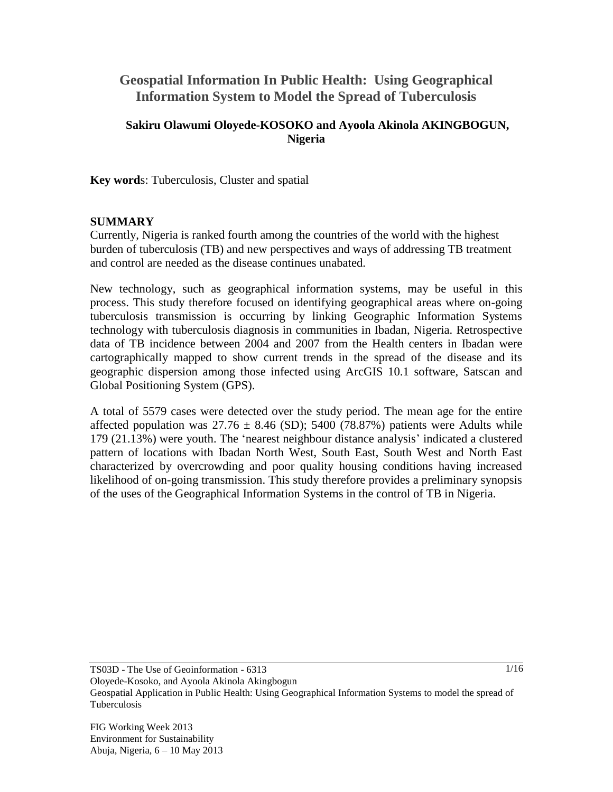# **Geospatial Information In Public Health: Using Geographical Information System to Model the Spread of Tuberculosis**

## **Sakiru Olawumi Oloyede-KOSOKO and Ayoola Akinola AKINGBOGUN, Nigeria**

**Key word**s: Tuberculosis, Cluster and spatial

#### **SUMMARY**

Currently, Nigeria is ranked fourth among the countries of the world with the highest burden of tuberculosis (TB) and new perspectives and ways of addressing TB treatment and control are needed as the disease continues unabated.

New technology, such as geographical information systems, may be useful in this process. This study therefore focused on identifying geographical areas where on-going tuberculosis transmission is occurring by linking Geographic Information Systems technology with tuberculosis diagnosis in communities in Ibadan, Nigeria. Retrospective data of TB incidence between 2004 and 2007 from the Health centers in Ibadan were cartographically mapped to show current trends in the spread of the disease and its geographic dispersion among those infected using ArcGIS 10.1 software, Satscan and Global Positioning System (GPS).

A total of 5579 cases were detected over the study period. The mean age for the entire affected population was  $27.76 \pm 8.46$  (SD); 5400 (78.87%) patients were Adults while 179 (21.13%) were youth. The 'nearest neighbour distance analysis' indicated a clustered pattern of locations with Ibadan North West, South East, South West and North East characterized by overcrowding and poor quality housing conditions having increased likelihood of on-going transmission. This study therefore provides a preliminary synopsis of the uses of the Geographical Information Systems in the control of TB in Nigeria.

TS03D - The Use of Geoinformation - 6313

Oloyede-Kosoko, and Ayoola Akinola Akingbogun

Geospatial Application in Public Health: Using Geographical Information Systems to model the spread of Tuberculosis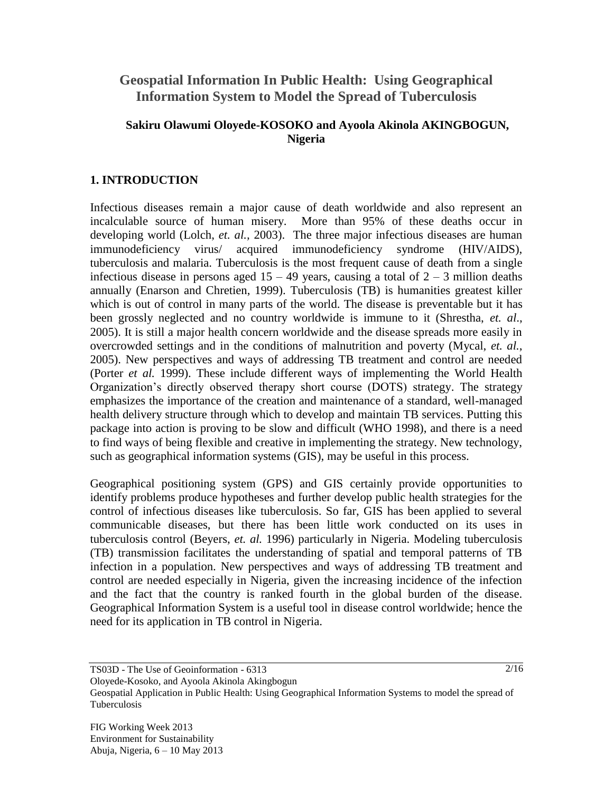# **Geospatial Information In Public Health: Using Geographical Information System to Model the Spread of Tuberculosis**

### **Sakiru Olawumi Oloyede-KOSOKO and Ayoola Akinola AKINGBOGUN, Nigeria**

## **1. INTRODUCTION**

Infectious diseases remain a major cause of death worldwide and also represent an incalculable source of human misery. More than 95% of these deaths occur in developing world (Lolch, *et. al.,* 2003). The three major infectious diseases are human immunodeficiency virus/ acquired immunodeficiency syndrome (HIV/AIDS), tuberculosis and malaria. Tuberculosis is the most frequent cause of death from a single infectious disease in persons aged  $15 - 49$  years, causing a total of  $2 - 3$  million deaths annually (Enarson and Chretien, 1999). Tuberculosis (TB) is humanities greatest killer which is out of control in many parts of the world. The disease is preventable but it has been grossly neglected and no country worldwide is immune to it (Shrestha, *et. al*., 2005). It is still a major health concern worldwide and the disease spreads more easily in overcrowded settings and in the conditions of malnutrition and poverty (Mycal, *et. al.*, 2005). New perspectives and ways of addressing TB treatment and control are needed (Porter *et al.* 1999). These include different ways of implementing the World Health Organization's directly observed therapy short course (DOTS) strategy. The strategy emphasizes the importance of the creation and maintenance of a standard, well-managed health delivery structure through which to develop and maintain TB services. Putting this package into action is proving to be slow and difficult (WHO 1998), and there is a need to find ways of being flexible and creative in implementing the strategy. New technology, such as geographical information systems (GIS), may be useful in this process.

Geographical positioning system (GPS) and GIS certainly provide opportunities to identify problems produce hypotheses and further develop public health strategies for the control of infectious diseases like tuberculosis. So far, GIS has been applied to several communicable diseases, but there has been little work conducted on its uses in tuberculosis control (Beyers, *et. al.* 1996) particularly in Nigeria. Modeling tuberculosis (TB) transmission facilitates the understanding of spatial and temporal patterns of TB infection in a population. New perspectives and ways of addressing TB treatment and control are needed especially in Nigeria, given the increasing incidence of the infection and the fact that the country is ranked fourth in the global burden of the disease. Geographical Information System is a useful tool in disease control worldwide; hence the need for its application in TB control in Nigeria.

Oloyede-Kosoko, and Ayoola Akinola Akingbogun

Geospatial Application in Public Health: Using Geographical Information Systems to model the spread of Tuberculosis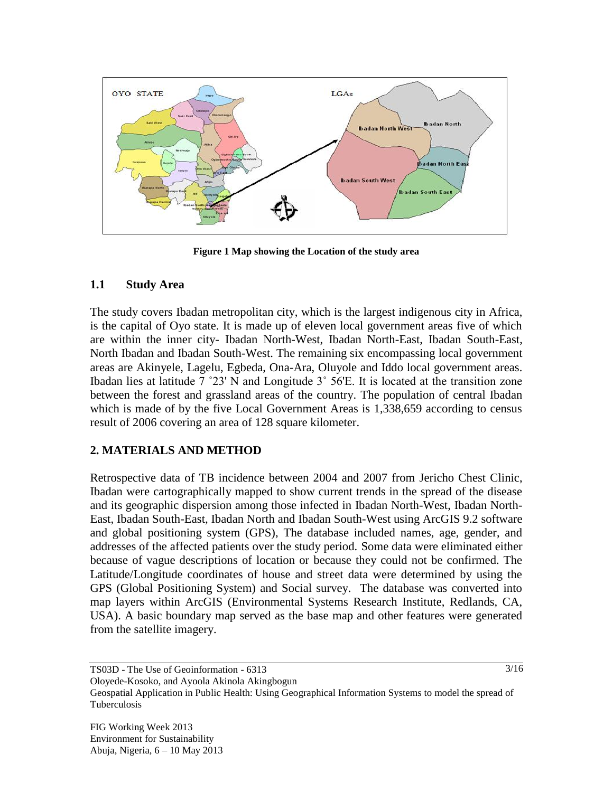

**Figure 1 Map showing the Location of the study area**

#### **1.1 Study Area**

The study covers Ibadan metropolitan city, which is the largest indigenous city in Africa, is the capital of Oyo state. It is made up of eleven local government areas five of which are within the inner city- Ibadan North-West, Ibadan North-East, Ibadan South-East, North Ibadan and Ibadan South-West. The remaining six encompassing local government areas are Akinyele, Lagelu, Egbeda, Ona-Ara, Oluyole and Iddo local government areas. Ibadan lies at latitude 7 ˚23' N and Longitude 3˚ 56'E. It is located at the transition zone between the forest and grassland areas of the country. The population of central Ibadan which is made of by the five Local Government Areas is 1,338,659 according to census result of 2006 covering an area of 128 square kilometer.

### **2. MATERIALS AND METHOD**

Retrospective data of TB incidence between 2004 and 2007 from Jericho Chest Clinic, Ibadan were cartographically mapped to show current trends in the spread of the disease and its geographic dispersion among those infected in Ibadan North-West, Ibadan North-East, Ibadan South-East, Ibadan North and Ibadan South-West using ArcGIS 9.2 software and global positioning system (GPS), The database included names, age, gender, and addresses of the affected patients over the study period. Some data were eliminated either because of vague descriptions of location or because they could not be confirmed. The Latitude/Longitude coordinates of house and street data were determined by using the GPS (Global Positioning System) and Social survey. The database was converted into map layers within ArcGIS (Environmental Systems Research Institute, Redlands, CA, USA). A basic boundary map served as the base map and other features were generated from the satellite imagery.

TS03D - The Use of Geoinformation - 6313

Oloyede-Kosoko, and Ayoola Akinola Akingbogun

Geospatial Application in Public Health: Using Geographical Information Systems to model the spread of Tuberculosis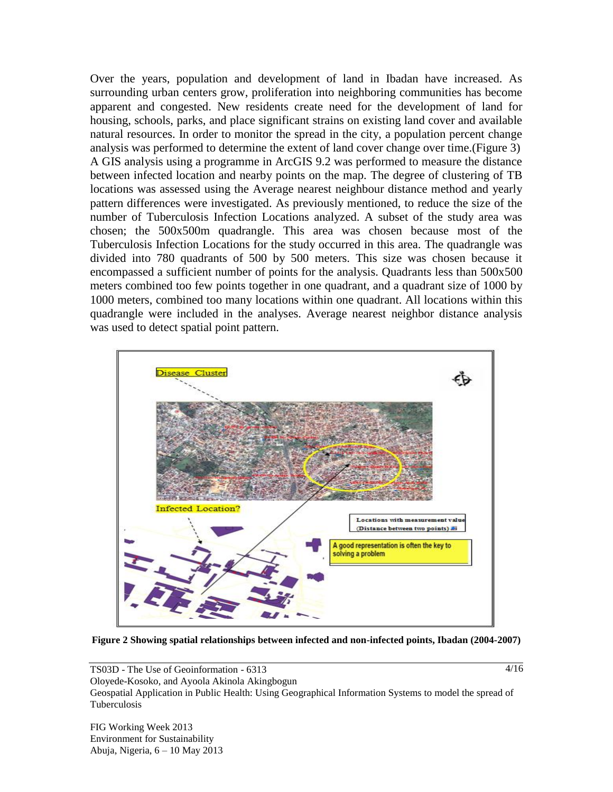Over the years, population and development of land in Ibadan have increased. As surrounding urban centers grow, proliferation into neighboring communities has become apparent and congested. New residents create need for the development of land for housing, schools, parks, and place significant strains on existing land cover and available natural resources. In order to monitor the spread in the city, a population percent change analysis was performed to determine the extent of land cover change over time.(Figure 3) A GIS analysis using a programme in ArcGIS 9.2 was performed to measure the distance between infected location and nearby points on the map. The degree of clustering of TB locations was assessed using the Average nearest neighbour distance method and yearly pattern differences were investigated. As previously mentioned, to reduce the size of the number of Tuberculosis Infection Locations analyzed. A subset of the study area was chosen; the 500x500m quadrangle. This area was chosen because most of the Tuberculosis Infection Locations for the study occurred in this area. The quadrangle was divided into 780 quadrants of 500 by 500 meters. This size was chosen because it encompassed a sufficient number of points for the analysis. Quadrants less than 500x500 meters combined too few points together in one quadrant, and a quadrant size of 1000 by 1000 meters, combined too many locations within one quadrant. All locations within this quadrangle were included in the analyses. Average nearest neighbor distance analysis was used to detect spatial point pattern.



**Figure 2 Showing spatial relationships between infected and non-infected points, Ibadan (2004-2007)**

TS03D - The Use of Geoinformation - 6313 Oloyede-Kosoko, and Ayoola Akinola Akingbogun Geospatial Application in Public Health: Using Geographical Information Systems to model the spread of Tuberculosis

FIG Working Week 2013 Environment for Sustainability Abuja, Nigeria, 6 – 10 May 2013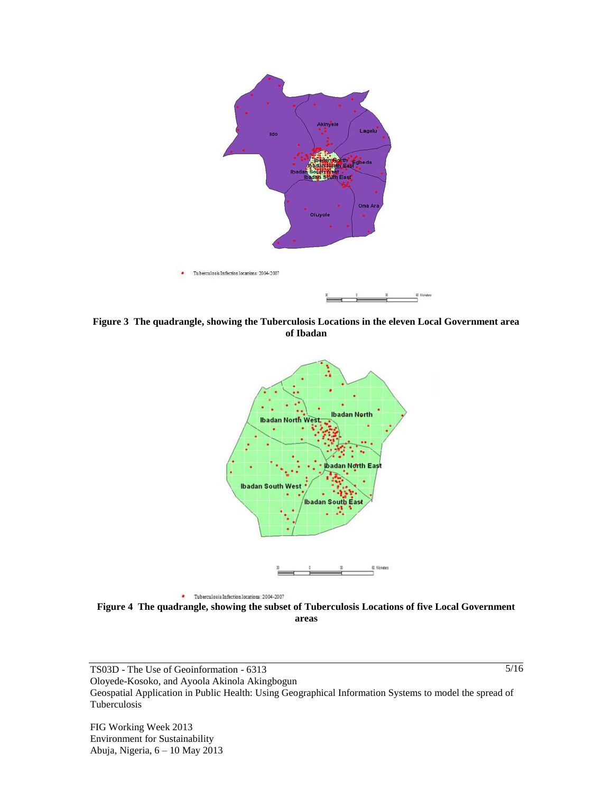

**Figure 3 The quadrangle, showing the Tuberculosis Locations in the eleven Local Government area of Ibadan**



**Figure 4 The quadrangle, showing the subset of Tuberculosis Locations of five Local Government areas**

TS03D - The Use of Geoinformation - 6313 Oloyede-Kosoko, and Ayoola Akinola Akingbogun Geospatial Application in Public Health: Using Geographical Information Systems to model the spread of Tuberculosis

FIG Working Week 2013 Environment for Sustainability Abuja, Nigeria, 6 – 10 May 2013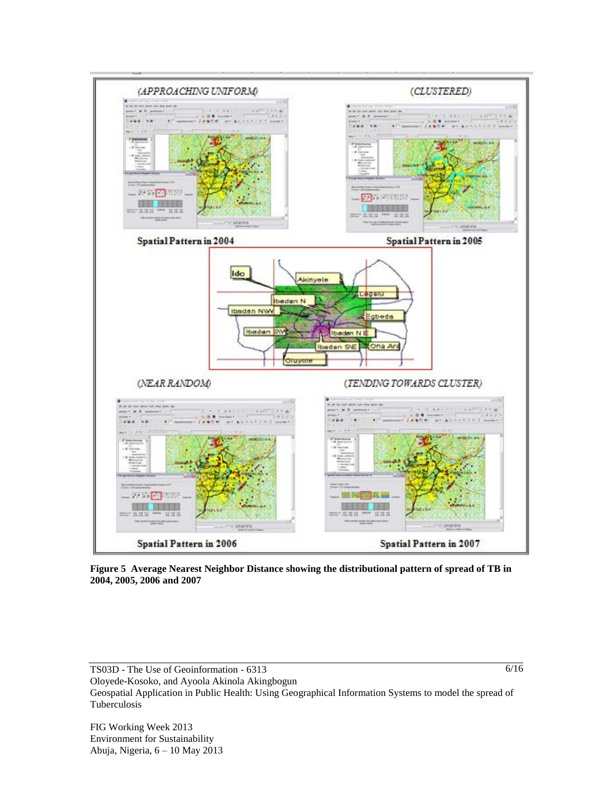

**Figure 5 Average Nearest Neighbor Distance showing the distributional pattern of spread of TB in 2004, 2005, 2006 and 2007**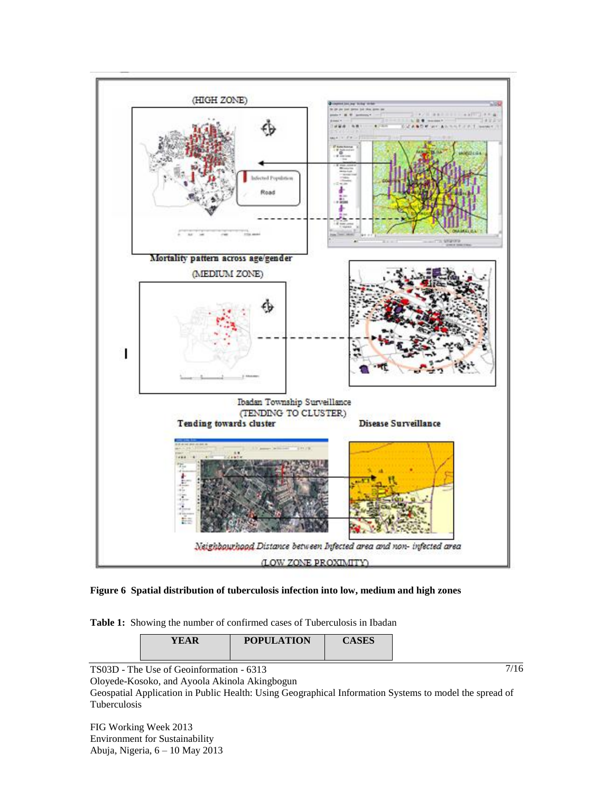

#### **Figure 6 Spatial distribution of tuberculosis infection into low, medium and high zones**

**Table 1:** Showing the number of confirmed cases of Tuberculosis in Ibadan

| <b>YEAR</b> | <b>POPULATION</b> | $\alpha$ and<br>AЭLЭ |
|-------------|-------------------|----------------------|
|             |                   |                      |

TS03D - The Use of Geoinformation - 6313

Oloyede-Kosoko, and Ayoola Akinola Akingbogun

Geospatial Application in Public Health: Using Geographical Information Systems to model the spread of Tuberculosis

FIG Working Week 2013 Environment for Sustainability Abuja, Nigeria, 6 – 10 May 2013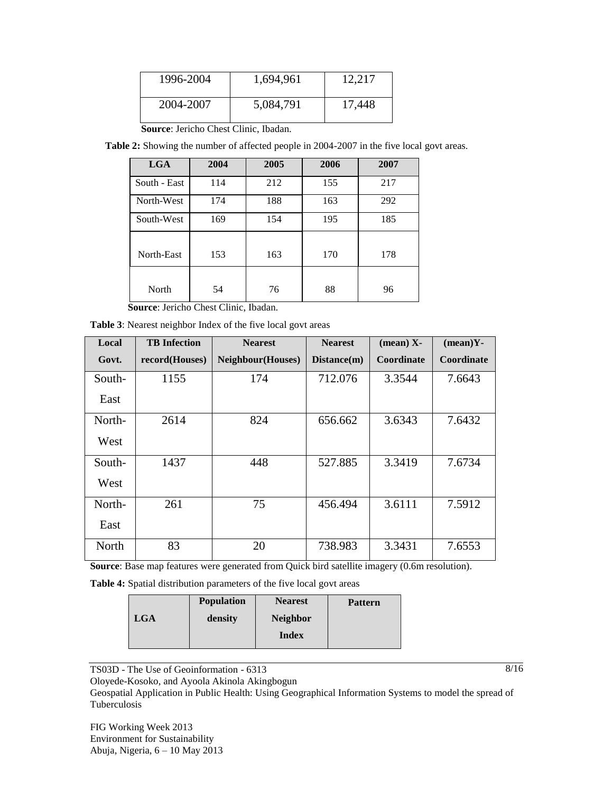| 1996-2004 | 1,694,961 | 12,217 |
|-----------|-----------|--------|
| 2004-2007 | 5,084,791 | 17,448 |

 **Source**: Jericho Chest Clinic, Ibadan.

 **Table 2:** Showing the number of affected people in 2004-2007 in the five local govt areas.

| <b>LGA</b>   | 2004           | 2005 | 2006 | 2007 |
|--------------|----------------|------|------|------|
| South - East | 114            | 212  | 155  | 217  |
| North-West   | 174            | 188  | 163  | 292  |
| South-West   | 169            | 154  | 195  | 185  |
|              |                |      |      |      |
| North-East   | 153            | 163  | 170  | 178  |
|              |                |      |      |      |
| North        | 54             | 76   | 88   | 96   |
| ۰.<br>- - -  | $\sim$<br>---- | $-1$ |      |      |

 **Source**: Jericho Chest Clinic, Ibadan.

**Table 3**: Nearest neighbor Index of the five local govt areas

| Local  | <b>TB</b> Infection | <b>Nearest</b>           | <b>Nearest</b> | $(\text{mean})$ X- | $(mean)Y-$ |
|--------|---------------------|--------------------------|----------------|--------------------|------------|
| Govt.  | record(Houses)      | <b>Neighbour(Houses)</b> | Distance(m)    | Coordinate         | Coordinate |
| South- | 1155                | 174                      | 712.076        | 3.3544             | 7.6643     |
| East   |                     |                          |                |                    |            |
| North- | 2614                | 824                      | 656.662        | 3.6343             | 7.6432     |
| West   |                     |                          |                |                    |            |
| South- | 1437                | 448                      | 527.885        | 3.3419             | 7.6734     |
| West   |                     |                          |                |                    |            |
| North- | 261                 | 75                       | 456.494        | 3.6111             | 7.5912     |
| East   |                     |                          |                |                    |            |
| North  | 83                  | 20                       | 738.983        | 3.3431             | 7.6553     |

**Source**: Base map features were generated from Quick bird satellite imagery (0.6m resolution).

**Table 4:** Spatial distribution parameters of the five local govt areas

|     | <b>Population</b> | <b>Nearest</b>  | <b>Pattern</b> |
|-----|-------------------|-----------------|----------------|
| LGA | density           | <b>Neighbor</b> |                |
|     |                   | <b>Index</b>    |                |
|     |                   |                 |                |

TS03D - The Use of Geoinformation - 6313

Oloyede-Kosoko, and Ayoola Akinola Akingbogun

Geospatial Application in Public Health: Using Geographical Information Systems to model the spread of Tuberculosis

FIG Working Week 2013 Environment for Sustainability Abuja, Nigeria, 6 – 10 May 2013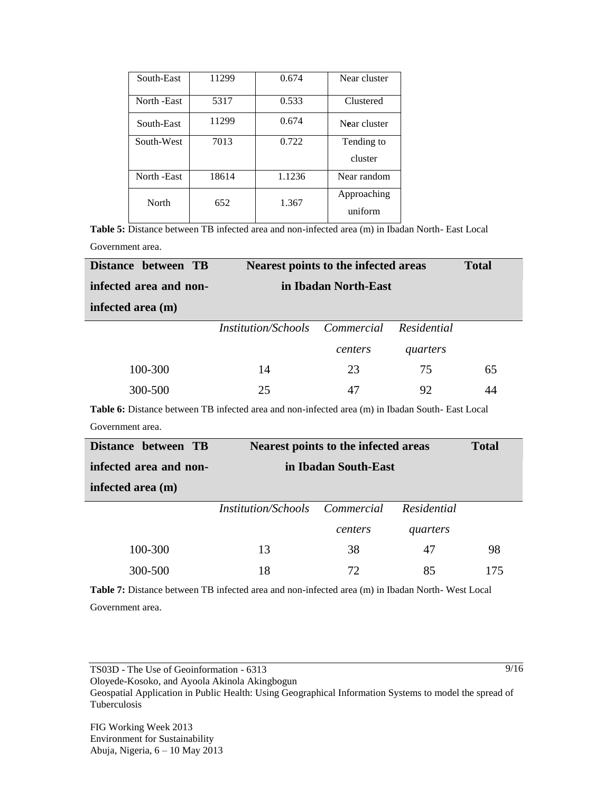| South-East   | 11299 | 0.674  | Near cluster |
|--------------|-------|--------|--------------|
| North - East | 5317  | 0.533  | Clustered    |
| South-East   | 11299 | 0.674  | Near cluster |
| South-West   | 7013  | 0.722  | Tending to   |
|              |       |        | cluster      |
| North - East | 18614 | 1.1236 | Near random  |
| North        | 652   | 1.367  | Approaching  |
|              |       |        | uniform      |

**Table 5:** Distance between TB infected area and non-infected area (m) in Ibadan North- East Local Government area.

| Distance between TB    | Nearest points to the infected areas  |         | <b>Total</b> |    |
|------------------------|---------------------------------------|---------|--------------|----|
| infected area and non- | in Ibadan North-East                  |         |              |    |
| infected area (m)      |                                       |         |              |    |
|                        | <i>Institution/Schools Commercial</i> |         | Residential  |    |
|                        |                                       | centers | quarters     |    |
| 100-300                | 14                                    | 23      | 75           | 65 |
| 300-500                | 25                                    | 47      | 92           | 44 |
|                        |                                       |         |              |    |

**Table 6:** Distance between TB infected area and non-infected area (m) in Ibadan South- East Local Government area.

| Distance between TB    | Nearest points to the infected areas  | <b>Total</b> |             |     |
|------------------------|---------------------------------------|--------------|-------------|-----|
| infected area and non- | in Ibadan South-East                  |              |             |     |
| infected area (m)      |                                       |              |             |     |
|                        | <i>Institution/Schools Commercial</i> |              | Residential |     |
|                        |                                       | centers      | quarters    |     |
| 100-300                | 13                                    | 38           | 47          | 98  |
| 300-500                | 18                                    | 72           | 85          | 175 |
|                        |                                       |              |             |     |

**Table 7:** Distance between TB infected area and non-infected area (m) in Ibadan North- West Local Government area.

Oloyede-Kosoko, and Ayoola Akinola Akingbogun

Geospatial Application in Public Health: Using Geographical Information Systems to model the spread of Tuberculosis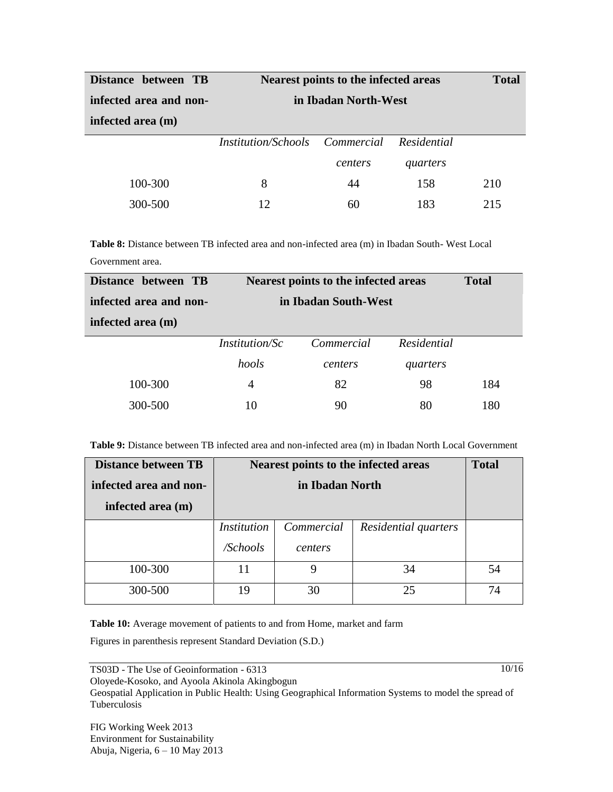| Distance between TB    | Nearest points to the infected areas  |         |             | <b>Total</b> |
|------------------------|---------------------------------------|---------|-------------|--------------|
| infected area and non- | in Ibadan North-West                  |         |             |              |
| infected area (m)      |                                       |         |             |              |
|                        | <i>Institution/Schools Commercial</i> |         | Residential |              |
|                        |                                       | centers | quarters    |              |
| 100-300                | 8                                     | 44      | 158         | 210          |
| 300-500                | 12                                    | 60      | 183         | 215          |

**Table 8:** Distance between TB infected area and non-infected area (m) in Ibadan South- West Local Government area.

| Distance between TB    | Nearest points to the infected areas |                      | <b>Total</b> |     |
|------------------------|--------------------------------------|----------------------|--------------|-----|
| infected area and non- |                                      | in Ibadan South-West |              |     |
| infected area (m)      |                                      |                      |              |     |
|                        | <i>Institution/Sc</i>                | Commercial           | Residential  |     |
|                        | hools                                | centers              | quarters     |     |
| 100-300                | 4                                    | 82                   | 98           | 184 |
| 300-500                | 10                                   | 90                   | 80           | 180 |

**Table 9:** Distance between TB infected area and non-infected area (m) in Ibadan North Local Government

| <b>Distance between TB</b> | Nearest points to the infected areas |            |                      | <b>Total</b> |
|----------------------------|--------------------------------------|------------|----------------------|--------------|
| infected area and non-     | in Ibadan North                      |            |                      |              |
| infected area (m)          |                                      |            |                      |              |
|                            | <i>Institution</i>                   | Commercial | Residential quarters |              |
|                            | /Schools                             | centers    |                      |              |
| 100-300                    | 11                                   | 9          | 34                   | 54           |
| 300-500                    | 19                                   | 30         | 25                   | 74           |

Table 10: Average movement of patients to and from Home, market and farm

Figures in parenthesis represent Standard Deviation (S.D.)

TS03D - The Use of Geoinformation - 6313

Oloyede-Kosoko, and Ayoola Akinola Akingbogun

Geospatial Application in Public Health: Using Geographical Information Systems to model the spread of Tuberculosis

FIG Working Week 2013 Environment for Sustainability Abuja, Nigeria, 6 – 10 May 2013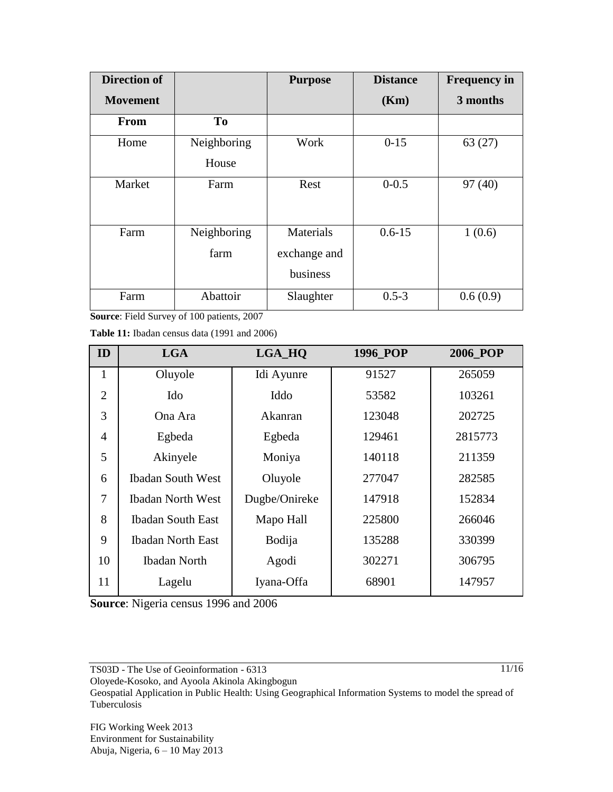| <b>Direction of</b> |                | <b>Purpose</b> | <b>Distance</b> | <b>Frequency in</b> |
|---------------------|----------------|----------------|-----------------|---------------------|
| <b>Movement</b>     |                |                | (Km)            | 3 months            |
| From                | T <sub>0</sub> |                |                 |                     |
| Home                | Neighboring    | Work           | $0-15$          | 63(27)              |
|                     | House          |                |                 |                     |
| Market              | Farm           | Rest           | $0 - 0.5$       | 97(40)              |
|                     |                |                |                 |                     |
| Farm                | Neighboring    | Materials      | $0.6 - 15$      | 1(0.6)              |
|                     | farm           | exchange and   |                 |                     |
|                     |                | business       |                 |                     |
| Farm                | Abattoir       | Slaughter      | $0.5 - 3$       | 0.6(0.9)            |

**Source**: Field Survey of 100 patients, 2007

**Table 11:** Ibadan census data (1991 and 2006)

| ID             | <b>LGA</b>               | LGA_HQ        | 1996 POP | <b>2006 POP</b> |
|----------------|--------------------------|---------------|----------|-----------------|
| $\mathbf{1}$   | Oluyole                  | Idi Ayunre    | 91527    | 265059          |
| $\overline{2}$ | Ido                      | Iddo          | 53582    | 103261          |
| 3              | Ona Ara                  | Akanran       | 123048   | 202725          |
| $\overline{4}$ | Egbeda                   | Egbeda        | 129461   | 2815773         |
| 5              | Akinyele                 | Moniya        | 140118   | 211359          |
| 6              | <b>Ibadan South West</b> | Oluyole       | 277047   | 282585          |
| 7              | <b>Ibadan North West</b> | Dugbe/Onireke | 147918   | 152834          |
| 8              | <b>Ibadan South East</b> | Mapo Hall     | 225800   | 266046          |
| 9              | <b>Ibadan North East</b> | <b>Bodija</b> | 135288   | 330399          |
| 10             | <b>Ibadan North</b>      | Agodi         | 302271   | 306795          |
| 11             | Lagelu                   | Iyana-Offa    | 68901    | 147957          |

**Source**: Nigeria census 1996 and 2006

Oloyede-Kosoko, and Ayoola Akinola Akingbogun

Geospatial Application in Public Health: Using Geographical Information Systems to model the spread of Tuberculosis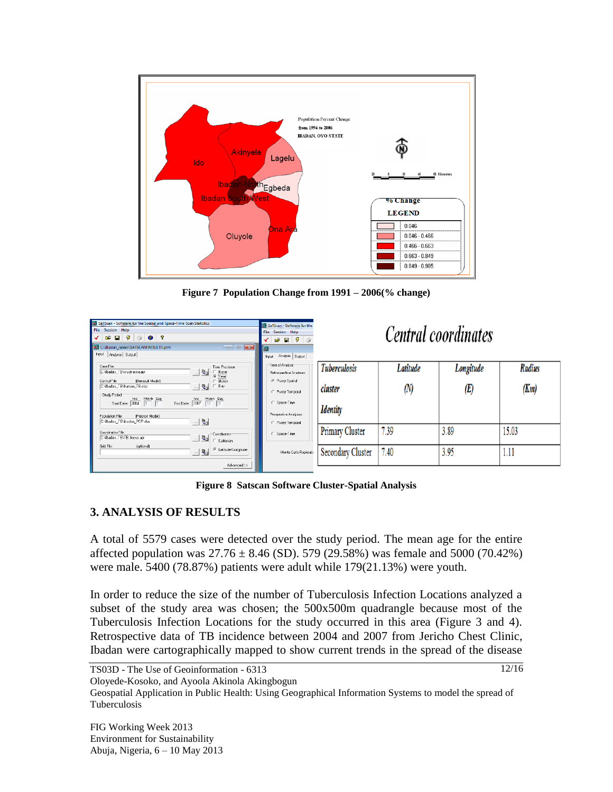

**Figure 7 Population Change from 1991 – 2006(% change)**

| SaTScan - Software for the Spatial and Space-Time Scan Statistics<br>File Session Help<br>22 C:\Ibadan_rabies\SATSCAN\RESULTS.prm<br>Input   Analysis   Output                                                                                                                                                                                                                                                                                                                                                                                                                                  | SaTScan - Software for the<br><b>File Session Help</b><br>$- - - -$<br>Input Analysis   Output                       | <i>Central coordinates</i> |          |           |               |
|-------------------------------------------------------------------------------------------------------------------------------------------------------------------------------------------------------------------------------------------------------------------------------------------------------------------------------------------------------------------------------------------------------------------------------------------------------------------------------------------------------------------------------------------------------------------------------------------------|----------------------------------------------------------------------------------------------------------------------|----------------------------|----------|-----------|---------------|
| Case File:<br>Time Precision:<br>$-2$<br>CNbaden_TB\study area.apr                                                                                                                                                                                                                                                                                                                                                                                                                                                                                                                              | Type of Analysis<br>Retrospective Analyses:                                                                          | <b>Tuberculosis</b>        | Latitude | Longitude | <b>Radius</b> |
| $\begin{array}{ccc}\n\odot & \text{None} \\ \odot & \text{Year} \\ \odot & \text{Month}\n\end{array}$<br>[Bernouli Mode]]<br>Control File:<br>$\mathbb{R}$ $\mathbb{R}$<br>CNbadan_TBNnuman_TB.shp<br>C Day<br>Study Period<br>$\begin{tabular}{ c c c c } \hline & \textbf{Year} & \textbf{Month} & \textbf{Day} \\ \hline \textbf{Start Date} & \textbf{2004} & \textbf{1} & \textbf{1} \\ \hline \end{tabular}$<br>End Date: $\frac{Y \text{e} \text{a}}{2007}$ $\frac{\text{Moneh}}{12}$ $\frac{\text{Day}}{31}$<br>(Poisson Model)<br>Population File:<br>- 5<br>CNbadan_TBNbadan_POP.idex | <sup>(C.</sup> Purely Spatial<br>Purely Temporal<br>Space-Time<br>Prospective Analyses:<br><b>C. Purely Temporal</b> | cluster<br><b>Identity</b> | (N       | (E)       | (Km)          |
| Coordinates File:<br>Condinates:<br>$-2$<br>CNbadan_TB\TB_focus.apr<br>Catesian                                                                                                                                                                                                                                                                                                                                                                                                                                                                                                                 | Space Time                                                                                                           | Primary Cluster            | 7.39     | 3.89      | 15.03         |
| Grid File:<br><b>cotionall</b><br>C Latitude/Longitude<br>$-8a$                                                                                                                                                                                                                                                                                                                                                                                                                                                                                                                                 | Monte Carlo Replicatio                                                                                               | Secondary Cluster          | 7.40     | 3.95      | 1.11          |
| Advanced>>                                                                                                                                                                                                                                                                                                                                                                                                                                                                                                                                                                                      |                                                                                                                      |                            |          |           |               |

**Figure 8 Satscan Software Cluster-Spatial Analysis**

### **3. ANALYSIS OF RESULTS**

A total of 5579 cases were detected over the study period. The mean age for the entire affected population was  $27.76 \pm 8.46$  (SD). 579 (29.58%) was female and 5000 (70.42%) were male. 5400 (78.87%) patients were adult while 179(21.13%) were youth.

In order to reduce the size of the number of Tuberculosis Infection Locations analyzed a subset of the study area was chosen; the 500x500m quadrangle because most of the Tuberculosis Infection Locations for the study occurred in this area (Figure 3 and 4). Retrospective data of TB incidence between 2004 and 2007 from Jericho Chest Clinic, Ibadan were cartographically mapped to show current trends in the spread of the disease

Oloyede-Kosoko, and Ayoola Akinola Akingbogun

Geospatial Application in Public Health: Using Geographical Information Systems to model the spread of Tuberculosis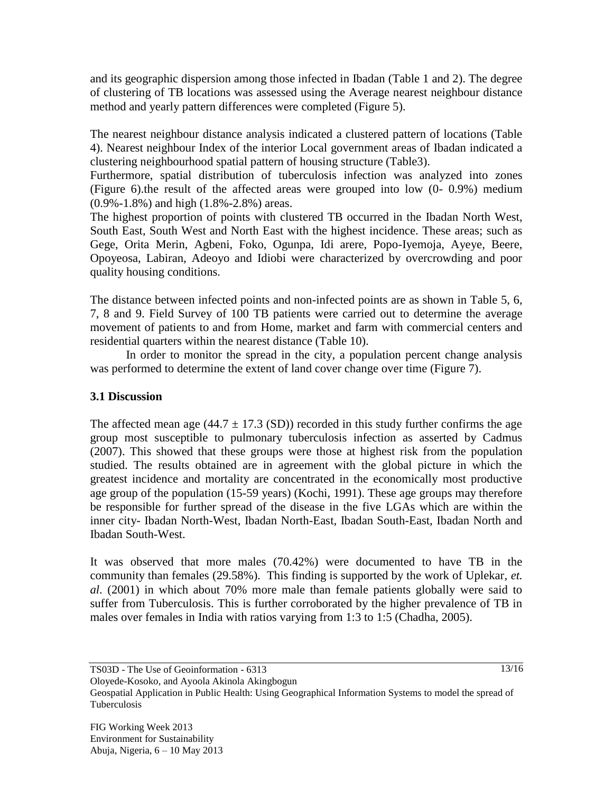and its geographic dispersion among those infected in Ibadan (Table 1 and 2). The degree of clustering of TB locations was assessed using the Average nearest neighbour distance method and yearly pattern differences were completed (Figure 5).

The nearest neighbour distance analysis indicated a clustered pattern of locations (Table 4). Nearest neighbour Index of the interior Local government areas of Ibadan indicated a clustering neighbourhood spatial pattern of housing structure (Table3).

Furthermore, spatial distribution of tuberculosis infection was analyzed into zones (Figure 6).the result of the affected areas were grouped into low (0- 0.9%) medium (0.9%-1.8%) and high (1.8%-2.8%) areas.

The highest proportion of points with clustered TB occurred in the Ibadan North West, South East, South West and North East with the highest incidence. These areas; such as Gege, Orita Merin, Agbeni, Foko, Ogunpa, Idi arere, Popo-Iyemoja, Ayeye, Beere, Opoyeosa, Labiran, Adeoyo and Idiobi were characterized by overcrowding and poor quality housing conditions.

The distance between infected points and non-infected points are as shown in Table 5, 6, 7, 8 and 9. Field Survey of 100 TB patients were carried out to determine the average movement of patients to and from Home, market and farm with commercial centers and residential quarters within the nearest distance (Table 10).

In order to monitor the spread in the city, a population percent change analysis was performed to determine the extent of land cover change over time (Figure 7).

## **3.1 Discussion**

The affected mean age  $(44.7 \pm 17.3 \text{ (SD)})$  recorded in this study further confirms the age group most susceptible to pulmonary tuberculosis infection as asserted by Cadmus (2007). This showed that these groups were those at highest risk from the population studied. The results obtained are in agreement with the global picture in which the greatest incidence and mortality are concentrated in the economically most productive age group of the population (15-59 years) (Kochi, 1991). These age groups may therefore be responsible for further spread of the disease in the five LGAs which are within the inner city- Ibadan North-West, Ibadan North-East, Ibadan South-East, Ibadan North and Ibadan South-West.

It was observed that more males (70.42%) were documented to have TB in the community than females (29.58%). This finding is supported by the work of Uplekar, *et. al*. (2001) in which about 70% more male than female patients globally were said to suffer from Tuberculosis. This is further corroborated by the higher prevalence of TB in males over females in India with ratios varying from 1:3 to 1:5 (Chadha, 2005).

Oloyede-Kosoko, and Ayoola Akinola Akingbogun

Geospatial Application in Public Health: Using Geographical Information Systems to model the spread of Tuberculosis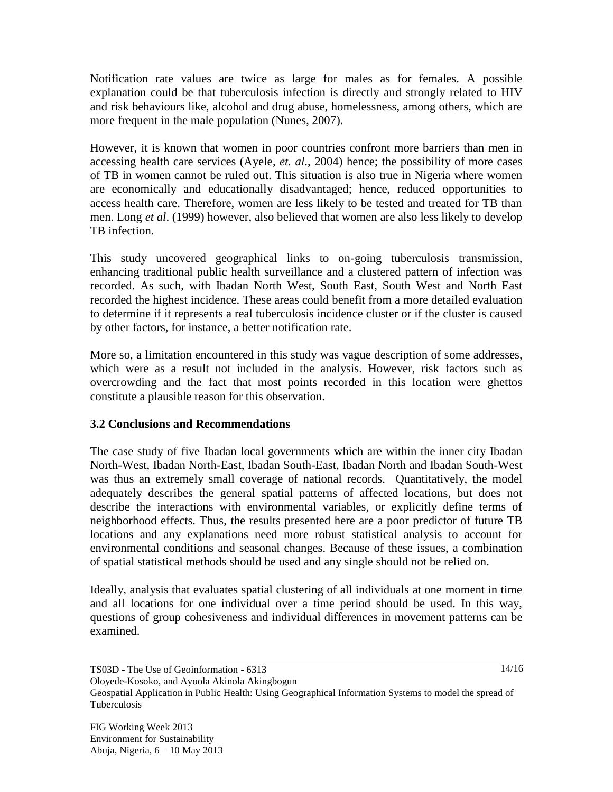Notification rate values are twice as large for males as for females. A possible explanation could be that tuberculosis infection is directly and strongly related to HIV and risk behaviours like, alcohol and drug abuse, homelessness, among others, which are more frequent in the male population (Nunes, 2007).

However, it is known that women in poor countries confront more barriers than men in accessing health care services (Ayele, *et. al*., 2004) hence; the possibility of more cases of TB in women cannot be ruled out. This situation is also true in Nigeria where women are economically and educationally disadvantaged; hence, reduced opportunities to access health care. Therefore, women are less likely to be tested and treated for TB than men. Long *et al*. (1999) however, also believed that women are also less likely to develop TB infection.

This study uncovered geographical links to on-going tuberculosis transmission, enhancing traditional public health surveillance and a clustered pattern of infection was recorded. As such, with Ibadan North West, South East, South West and North East recorded the highest incidence. These areas could benefit from a more detailed evaluation to determine if it represents a real tuberculosis incidence cluster or if the cluster is caused by other factors, for instance, a better notification rate.

More so, a limitation encountered in this study was vague description of some addresses, which were as a result not included in the analysis. However, risk factors such as overcrowding and the fact that most points recorded in this location were ghettos constitute a plausible reason for this observation.

### **3.2 Conclusions and Recommendations**

The case study of five Ibadan local governments which are within the inner city Ibadan North-West, Ibadan North-East, Ibadan South-East, Ibadan North and Ibadan South-West was thus an extremely small coverage of national records. Quantitatively, the model adequately describes the general spatial patterns of affected locations, but does not describe the interactions with environmental variables, or explicitly define terms of neighborhood effects. Thus, the results presented here are a poor predictor of future TB locations and any explanations need more robust statistical analysis to account for environmental conditions and seasonal changes. Because of these issues, a combination of spatial statistical methods should be used and any single should not be relied on.

Ideally, analysis that evaluates spatial clustering of all individuals at one moment in time and all locations for one individual over a time period should be used. In this way, questions of group cohesiveness and individual differences in movement patterns can be examined.

Oloyede-Kosoko, and Ayoola Akinola Akingbogun

Geospatial Application in Public Health: Using Geographical Information Systems to model the spread of Tuberculosis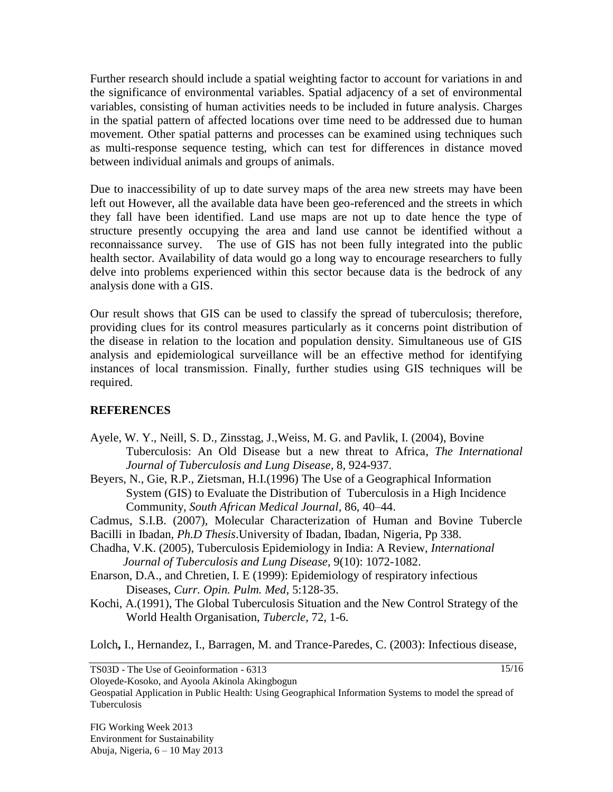Further research should include a spatial weighting factor to account for variations in and the significance of environmental variables. Spatial adjacency of a set of environmental variables, consisting of human activities needs to be included in future analysis. Charges in the spatial pattern of affected locations over time need to be addressed due to human movement. Other spatial patterns and processes can be examined using techniques such as multi-response sequence testing, which can test for differences in distance moved between individual animals and groups of animals.

Due to inaccessibility of up to date survey maps of the area new streets may have been left out However, all the available data have been geo-referenced and the streets in which they fall have been identified. Land use maps are not up to date hence the type of structure presently occupying the area and land use cannot be identified without a reconnaissance survey. The use of GIS has not been fully integrated into the public health sector. Availability of data would go a long way to encourage researchers to fully delve into problems experienced within this sector because data is the bedrock of any analysis done with a GIS.

Our result shows that GIS can be used to classify the spread of tuberculosis; therefore, providing clues for its control measures particularly as it concerns point distribution of the disease in relation to the location and population density. Simultaneous use of GIS analysis and epidemiological surveillance will be an effective method for identifying instances of local transmission. Finally, further studies using GIS techniques will be required.

#### **REFERENCES**

- Ayele, W. Y., Neill, S. D., Zinsstag, J.,Weiss, M. G. and Pavlik, I. (2004), Bovine Tuberculosis: An Old Disease but a new threat to Africa, *The International Journal of Tuberculosis and Lung Disease,* 8, 924-937.
- Beyers, N., Gie, R.P., Zietsman, H.I.(1996) The Use of a Geographical Information System (GIS) to Evaluate the Distribution of Tuberculosis in a High Incidence Community, *South African Medical Journal,* 86, 40–44.

Cadmus, S.I.B. (2007), Molecular Characterization of Human and Bovine Tubercle

- Bacilli in Ibadan, *Ph.D Thesis*.University of Ibadan, Ibadan, Nigeria, Pp 338.
- Chadha, V.K. (2005), Tuberculosis Epidemiology in India: A Review, *International Journal of Tuberculosis and Lung Disease,* 9(10): 1072-1082.
- Enarson, D.A., and Chretien, I. E (1999): Epidemiology of respiratory infectious Diseases, *Curr. Opin. Pulm. Med,* 5:128-35.
- Kochi, A.(1991), The Global Tuberculosis Situation and the New Control Strategy of the World Health Organisation, *Tubercle,* 72, 1-6.

Lolch**,** I., Hernandez, I., Barragen, M. and Trance-Paredes, C. (2003): Infectious disease,

TS03D - The Use of Geoinformation - 6313

Oloyede-Kosoko, and Ayoola Akinola Akingbogun

Geospatial Application in Public Health: Using Geographical Information Systems to model the spread of Tuberculosis